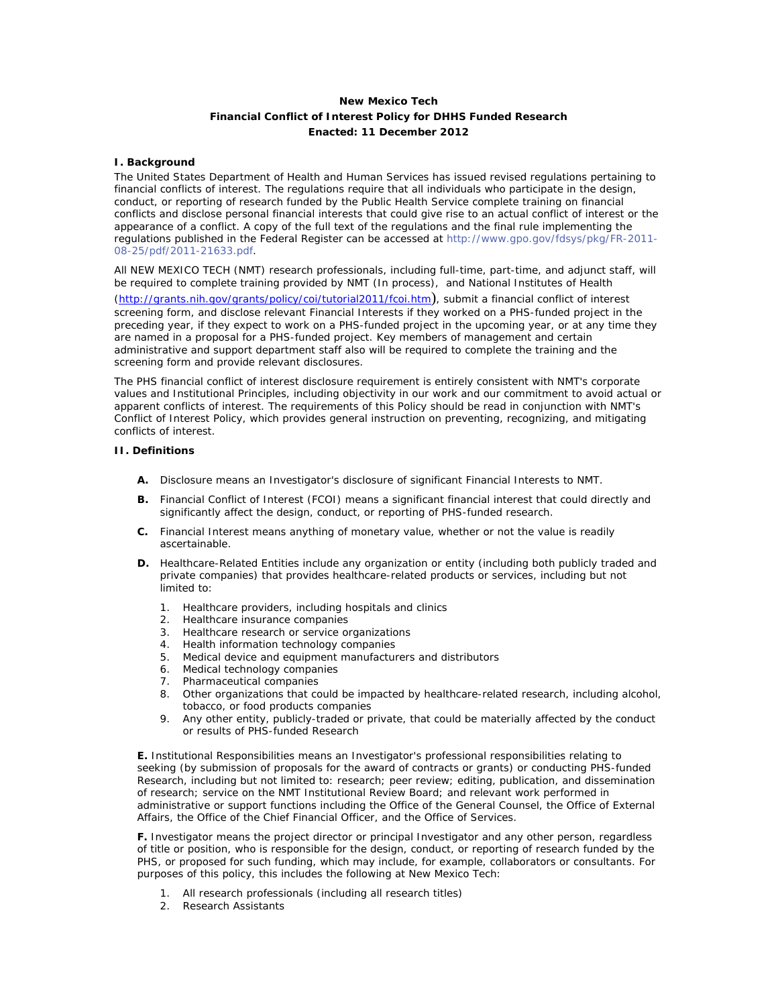# **New Mexico Tech Financial Conflict of Interest Policy for DHHS Funded Research Enacted: 11 December 2012**

#### **I. Background**

The United States Department of Health and Human Services has issued revised regulations pertaining to financial conflicts of interest. The regulations require that all individuals who participate in the design, conduct, or reporting of research funded by the Public Health Service complete training on financial conflicts and disclose personal financial interests that could give rise to an actual conflict of interest or the appearance of a conflict. A copy of the full text of the regulations and the final rule implementing the regulations published in the Federal Register can be accessed at [http://www.gpo.gov/fdsys/pkg/FR-2011-](http://www.gpo.gov/fdsys/pkg/FR-2011-08-25/pdf/2011-21633.pdf) [08-25/pdf/2011-21633.pdf](http://www.gpo.gov/fdsys/pkg/FR-2011-08-25/pdf/2011-21633.pdf).

All NEW MEXICO TECH (NMT) research professionals, including full-time, part-time, and adjunct staff, will be required to complete training provided by NMT (In process), and National Institutes of Health

(<http://grants.nih.gov/grants/policy/coi/tutorial2011/fcoi.htm>), submit a financial conflict of interest screening form, and disclose relevant Financial Interests if they worked on a PHS-funded project in the preceding year, if they expect to work on a PHS-funded project in the upcoming year, or at any time they are named in a proposal for a PHS-funded project. Key members of management and certain administrative and support department staff also will be required to complete the training and the screening form and provide relevant disclosures.

The PHS financial conflict of interest disclosure requirement is entirely consistent with NMT's corporate values and Institutional Principles, including objectivity in our work and our commitment to avoid actual or apparent conflicts of interest. The requirements of this Policy should be read in conjunction with NMT's Conflict of Interest Policy, which provides general instruction on preventing, recognizing, and mitigating conflicts of interest.

### **II. Definitions**

- **A.** Disclosure means an Investigator's disclosure of significant Financial Interests to NMT.
- **B.** Financial Conflict of Interest (FCOI) means a significant financial interest that could directly and significantly affect the design, conduct, or reporting of PHS-funded research.
- **C.** Financial Interest means anything of monetary value, whether or not the value is readily ascertainable.
- **D.** Healthcare-Related Entities include any organization or entity (including both publicly traded and private companies) that provides healthcare-related products or services, including but not limited to:
	- 1. Healthcare providers, including hospitals and clinics
	- 2. Healthcare insurance companies
	- 3. Healthcare research or service organizations<br>4. Health information technology companies
	- 4. Health information technology companies
	- 5. Medical device and equipment manufacturers and distributors
	- 6. Medical technology companies
	- 7. Pharmaceutical companies
	- 8. Other organizations that could be impacted by healthcare-related research, including alcohol, tobacco, or food products companies
	- 9. Any other entity, publicly-traded or private, that could be materially affected by the conduct or results of PHS-funded Research

**E.** Institutional Responsibilities means an Investigator's professional responsibilities relating to seeking (by submission of proposals for the award of contracts or grants) or conducting PHS-funded Research, including but not limited to: research; peer review; editing, publication, and dissemination of research; service on the NMT Institutional Review Board; and relevant work performed in administrative or support functions including the Office of the General Counsel, the Office of External Affairs, the Office of the Chief Financial Officer, and the Office of Services.

**F.** Investigator means the project director or principal Investigator and any other person, regardless of title or position, who is responsible for the design, conduct, or reporting of research funded by the PHS, or proposed for such funding, which may include, for example, collaborators or consultants. For purposes of this policy, this includes the following at New Mexico Tech:

- 1. All research professionals (including all research titles)
- 2. Research Assistants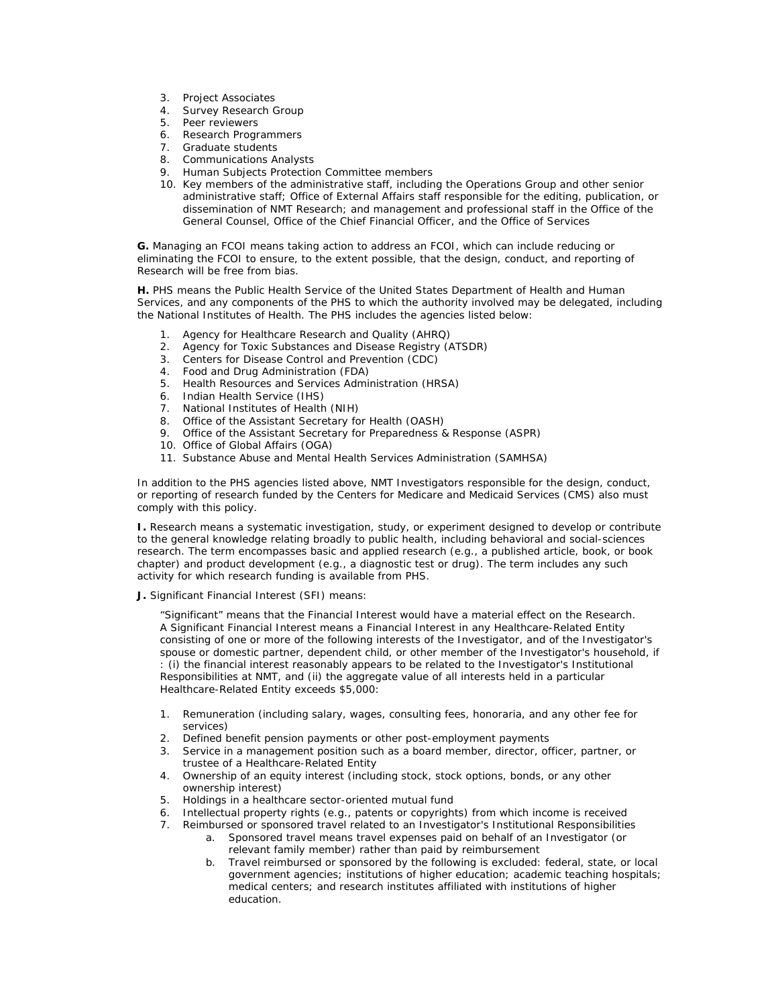- 3. Project Associates
- 4. Survey Research Group
- 5. Peer reviewers
- 6. Research Programmers
- 7. Graduate students
- 8. Communications Analysts
- 9. Human Subjects Protection Committee members
- 10. Key members of the administrative staff, including the Operations Group and other senior administrative staff; Office of External Affairs staff responsible for the editing, publication, or dissemination of NMT Research; and management and professional staff in the Office of the General Counsel, Office of the Chief Financial Officer, and the Office of Services

**G.** Managing an FCOI means taking action to address an FCOI, which can include reducing or eliminating the FCOI to ensure, to the extent possible, that the design, conduct, and reporting of Research will be free from bias.

**H.** PHS means the Public Health Service of the United States Department of Health and Human Services, and any components of the PHS to which the authority involved may be delegated, including the National Institutes of Health. The PHS includes the agencies listed below:

- 1. Agency for Healthcare Research and Quality (AHRQ)
- 2. Agency for Toxic Substances and Disease Registry (ATSDR)
- 3. Centers for Disease Control and Prevention (CDC)
- 4. Food and Drug Administration (FDA)
- 5. Health Resources and Services Administration (HRSA)
- 6. Indian Health Service (IHS)
- 7. National Institutes of Health (NIH)
- 8. Office of the Assistant Secretary for Health (OASH)
- 9. Office of the Assistant Secretary for Preparedness & Response (ASPR)
- 10. Office of Global Affairs (OGA)
- 11. Substance Abuse and Mental Health Services Administration (SAMHSA)

In addition to the PHS agencies listed above, NMT Investigators responsible for the design, conduct, or reporting of research funded by the Centers for Medicare and Medicaid Services (CMS) also must comply with this policy.

**I.** Research means a systematic investigation, study, or experiment designed to develop or contribute to the general knowledge relating broadly to public health, including behavioral and social-sciences research. The term encompasses basic and applied research (e.g., a published article, book, or book chapter) and product development (e.g., a diagnostic test or drug). The term includes any such activity for which research funding is available from PHS.

**J.** Significant Financial Interest (SFI) means:

"Significant" means that the Financial Interest would have a material effect on the Research. A Significant Financial Interest means a Financial Interest in any Healthcare-Related Entity consisting of one or more of the following interests of the Investigator, and of the Investigator's spouse or domestic partner, dependent child, or other member of the Investigator's household, if : (i) the financial interest reasonably appears to be related to the Investigator's Institutional Responsibilities at NMT, and (ii) the aggregate value of all interests held in a particular Healthcare-Related Entity exceeds \$5,000:

- 1. Remuneration (including salary, wages, consulting fees, honoraria, and any other fee for services)
- 2. Defined benefit pension payments or other post-employment payments
- 3. Service in a management position such as a board member, director, officer, partner, or trustee of a Healthcare-Related Entity
- 4. Ownership of an equity interest (including stock, stock options, bonds, or any other ownership interest)
- 5. Holdings in a healthcare sector-oriented mutual fund
- 6. Intellectual property rights (e.g., patents or copyrights) from which income is received
- 7. Reimbursed or sponsored travel related to an Investigator's Institutional Responsibilities Sponsored travel means travel expenses paid on behalf of an Investigator (or
	- relevant family member) rather than paid by reimbursement
	- b. Travel reimbursed or sponsored by the following is excluded: federal, state, or local government agencies; institutions of higher education; academic teaching hospitals; medical centers; and research institutes affiliated with institutions of higher education.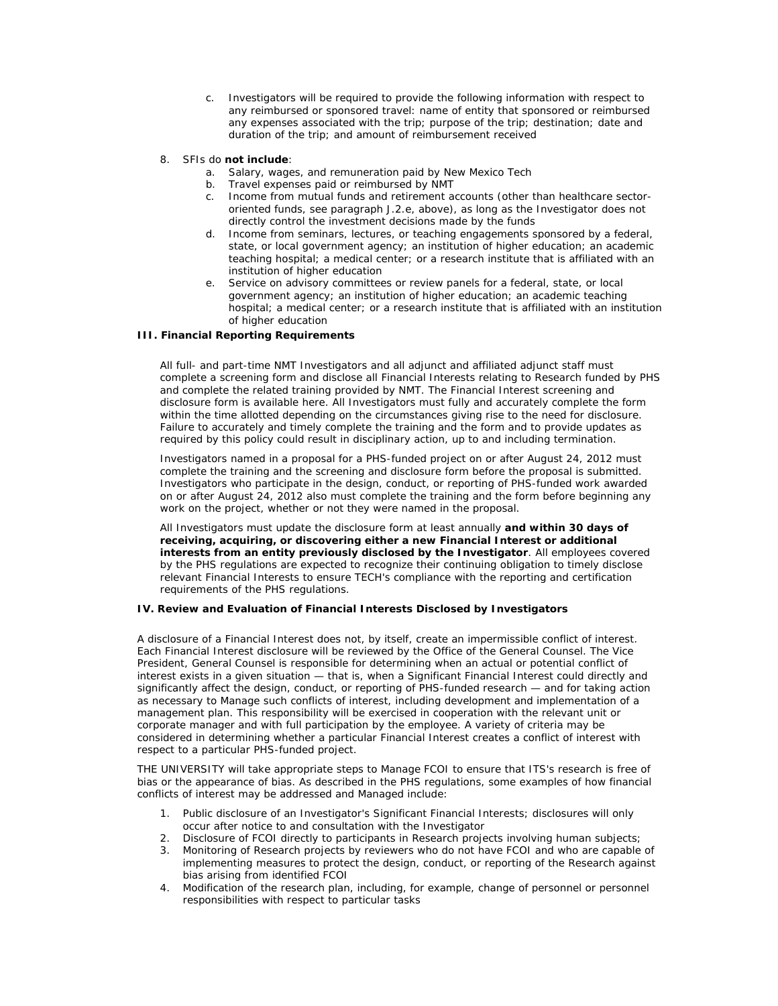- c. Investigators will be required to provide the following information with respect to any reimbursed or sponsored travel: name of entity that sponsored or reimbursed any expenses associated with the trip; purpose of the trip; destination; date and duration of the trip; and amount of reimbursement received
- 8. SFIs do **not include**:
	- a. Salary, wages, and remuneration paid by New Mexico Tech
	- b. Travel expenses paid or reimbursed by NMT
	- c. Income from mutual funds and retirement accounts (other than healthcare sectororiented funds, see paragraph J.2.e, above), as long as the Investigator does not directly control the investment decisions made by the funds
	- d. Income from seminars, lectures, or teaching engagements sponsored by a federal, state, or local government agency; an institution of higher education; an academic teaching hospital; a medical center; or a research institute that is affiliated with an institution of higher education
	- e. Service on advisory committees or review panels for a federal, state, or local government agency; an institution of higher education; an academic teaching hospital; a medical center; or a research institute that is affiliated with an institution of higher education

### **III. Financial Reporting Requirements**

All full- and part-time NMT Investigators and all adjunct and affiliated adjunct staff must complete a screening form and disclose all Financial Interests relating to Research funded by PHS and complete the related training provided by NMT. The Financial Interest screening and disclosure form is available here. All Investigators must fully and accurately complete the form within the time allotted depending on the circumstances giving rise to the need for disclosure. Failure to accurately and timely complete the training and the form and to provide updates as required by this policy could result in disciplinary action, up to and including termination.

Investigators named in a proposal for a PHS-funded project on or after August 24, 2012 must complete the training and the screening and disclosure form before the proposal is submitted. Investigators who participate in the design, conduct, or reporting of PHS-funded work awarded on or after August 24, 2012 also must complete the training and the form before beginning any work on the project, whether or not they were named in the proposal.

All Investigators must update the disclosure form at least annually **and within 30 days of receiving, acquiring, or discovering either a new Financial Interest or additional interests from an entity previously disclosed by the Investigator**. All employees covered by the PHS regulations are expected to recognize their continuing obligation to timely disclose relevant Financial Interests to ensure TECH's compliance with the reporting and certification requirements of the PHS regulations.

### **IV. Review and Evaluation of Financial Interests Disclosed by Investigators**

A disclosure of a Financial Interest does not, by itself, create an impermissible conflict of interest. Each Financial Interest disclosure will be reviewed by the Office of the General Counsel. The Vice President, General Counsel is responsible for determining when an actual or potential conflict of interest exists in a given situation — that is, when a Significant Financial Interest could directly and significantly affect the design, conduct, or reporting of PHS-funded research — and for taking action as necessary to Manage such conflicts of interest, including development and implementation of a management plan. This responsibility will be exercised in cooperation with the relevant unit or corporate manager and with full participation by the employee. A variety of criteria may be considered in determining whether a particular Financial Interest creates a conflict of interest with respect to a particular PHS-funded project.

THE UNIVERSITY will take appropriate steps to Manage FCOI to ensure that ITS's research is free of bias or the appearance of bias. As described in the PHS regulations, some examples of how financial conflicts of interest may be addressed and Managed include:

- 1. Public disclosure of an Investigator's Significant Financial Interests; disclosures will only occur after notice to and consultation with the Investigator
- 2. Disclosure of FCOI directly to participants in Research projects involving human subjects;<br>3. Monitoring of Research projects by reviewers who do not have FCOI and who are canable
- 3. Monitoring of Research projects by reviewers who do not have FCOI and who are capable of implementing measures to protect the design, conduct, or reporting of the Research against bias arising from identified FCOI
- 4. Modification of the research plan, including, for example, change of personnel or personnel responsibilities with respect to particular tasks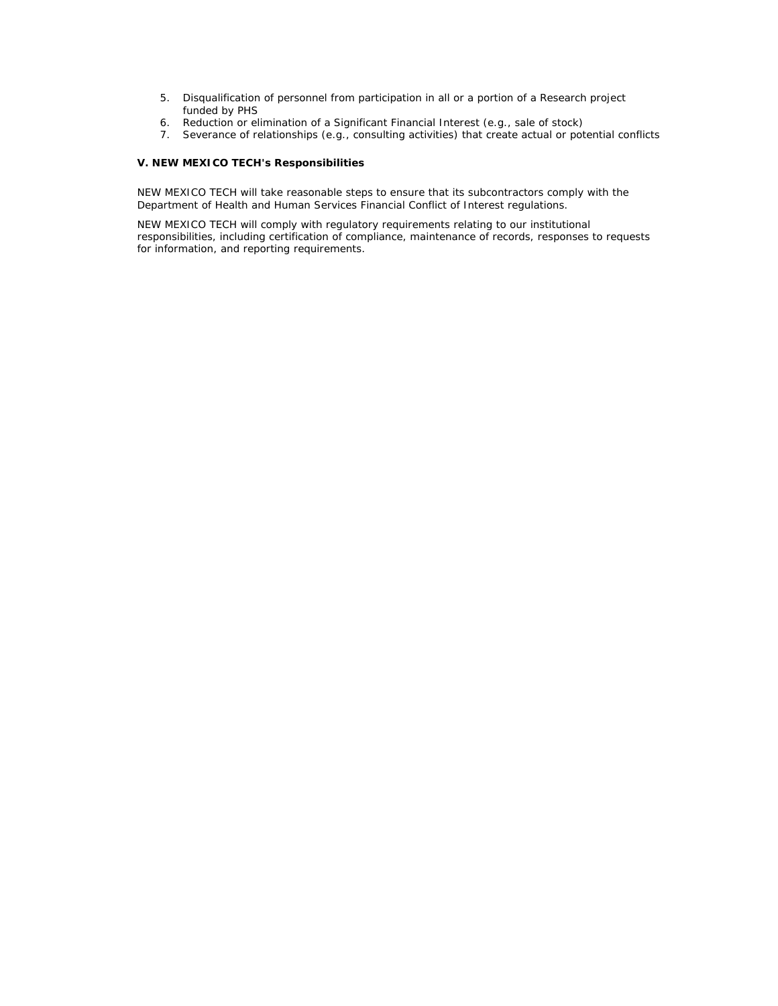- 5. Disqualification of personnel from participation in all or a portion of a Research project funded by PHS
- 6. Reduction or elimination of a Significant Financial Interest (e.g., sale of stock)
- 7. Severance of relationships (e.g., consulting activities) that create actual or potential conflicts

## **V. NEW MEXICO TECH's Responsibilities**

NEW MEXICO TECH will take reasonable steps to ensure that its subcontractors comply with the Department of Health and Human Services Financial Conflict of Interest regulations.

NEW MEXICO TECH will comply with regulatory requirements relating to our institutional responsibilities, including certification of compliance, maintenance of records, responses to requests for information, and reporting requirements.